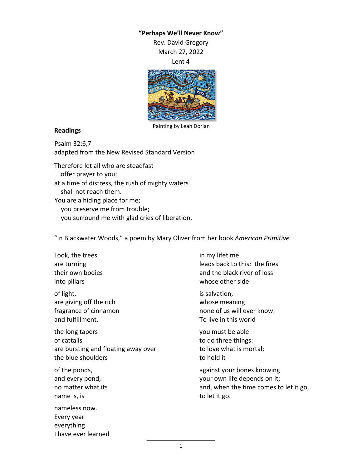## **"Perhaps We'll Never Know"** Rev. David Gregory

March 27, 2022

Lent 4



## Painting by Leah Dorian

## **Readings**

Psalm 32:6,7 adapted from the New Revised Standard Version

Therefore let all who are steadfast offer prayer to you; at a time of distress, the rush of mighty waters shall not reach them. You are a hiding place for me; you preserve me from trouble; you surround me with glad cries of liberation.

"In Blackwater Woods," a poem by Mary Oliver from her book *American Primitive*

Look, the trees are turning their own bodies into pillars

of light, are giving off the rich fragrance of cinnamon and fulfillment,

the long tapers of cattails are bursting and floating away over the blue shoulders

of the ponds, and every pond, no matter what its name is, is

nameless now. Every year everything I have ever learned in my lifetime leads back to this: the fires and the black river of loss whose other side

is salvation, whose meaning none of us will ever know. To live in this world

you must be able to do three things: to love what is mortal; to hold it

against your bones knowing your own life depends on it; and, when the time comes to let it go, to let it go.

1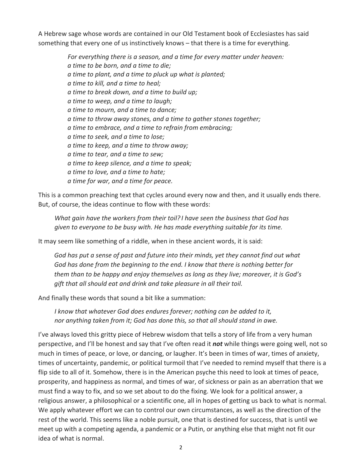A Hebrew sage whose words are contained in our Old Testament book of Ecclesiastes has said something that every one of us instinctively knows – that there is a time for everything.

> *For everything there is a season, and a time for every matter under heaven: a time to be born, and a time to die; a time to plant, and a time to pluck up what is planted; a time to kill, and a time to heal; a time to break down, and a time to build up; a time to weep, and a time to laugh; a time to mourn, and a time to dance; a time to throw away stones, and a time to gather stones together; a time to embrace, and a time to refrain from embracing; a time to seek, and a time to lose; a time to keep, and a time to throw away; a time to tear, and a time to sew; a time to keep silence, and a time to speak; a time to love, and a time to hate; a time for war, and a time for peace.*

This is a common preaching text that cycles around every now and then, and it usually ends there. But, of course, the ideas continue to flow with these words:

*What gain have the workers from their toil? I have seen the business that God has given to everyone to be busy with. He has made everything suitable for its time.*

It may seem like something of a riddle, when in these ancient words, it is said:

*God has put a sense of past and future into their minds, yet they cannot find out what God has done from the beginning to the end. I know that there is nothing better for them than to be happy and enjoy themselves as long as they live; moreover, it is God's gift that all should eat and drink and take pleasure in all their toil.*

And finally these words that sound a bit like a summation:

*I know that whatever God does endures forever; nothing can be added to it, nor anything taken from it; God has done this, so that all should stand in awe.*

I've always loved this gritty piece of Hebrew wisdom that tells a story of life from a very human perspective, and I'll be honest and say that I've often read it *not* while things were going well, not so much in times of peace, or love, or dancing, or laugher. It's been in times of war, times of anxiety, times of uncertainty, pandemic, or political turmoil that I've needed to remind myself that there is a flip side to all of it. Somehow, there is in the American psyche this need to look at times of peace, prosperity, and happiness as normal, and times of war, of sickness or pain as an aberration that we must find a way to fix, and so we set about to do the fixing. We look for a political answer, a religious answer, a philosophical or a scientific one, all in hopes of getting us back to what is normal. We apply whatever effort we can to control our own circumstances, as well as the direction of the rest of the world. This seems like a noble pursuit, one that is destined for success, that is until we meet up with a competing agenda, a pandemic or a Putin, or anything else that might not fit our idea of what is normal.